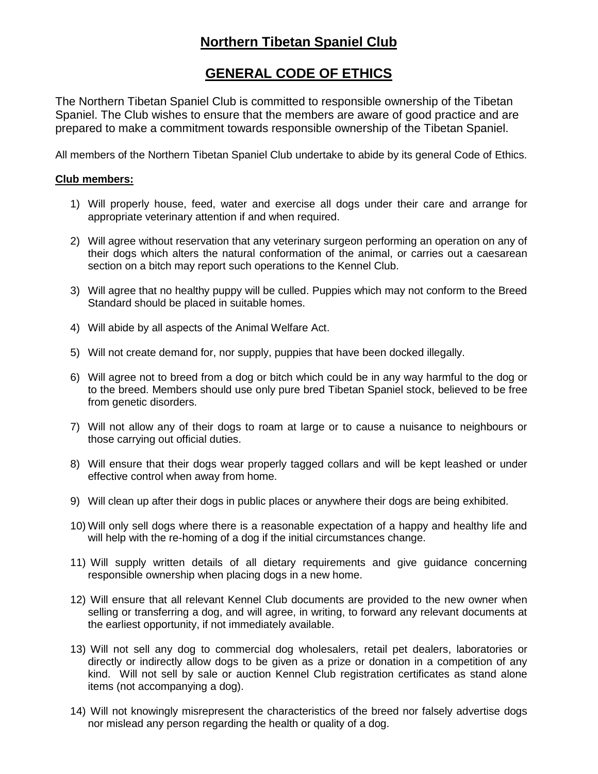## **Northern Tibetan Spaniel Club**

## **GENERAL CODE OF ETHICS**

The Northern Tibetan Spaniel Club is committed to responsible ownership of the Tibetan Spaniel. The Club wishes to ensure that the members are aware of good practice and are prepared to make a commitment towards responsible ownership of the Tibetan Spaniel.

All members of the Northern Tibetan Spaniel Club undertake to abide by its general Code of Ethics.

## **Club members:**

- 1) Will properly house, feed, water and exercise all dogs under their care and arrange for appropriate veterinary attention if and when required.
- 2) Will agree without reservation that any veterinary surgeon performing an operation on any of their dogs which alters the natural conformation of the animal, or carries out a caesarean section on a bitch may report such operations to the Kennel Club.
- 3) Will agree that no healthy puppy will be culled. Puppies which may not conform to the Breed Standard should be placed in suitable homes.
- 4) Will abide by all aspects of the Animal Welfare Act.
- 5) Will not create demand for, nor supply, puppies that have been docked illegally.
- 6) Will agree not to breed from a dog or bitch which could be in any way harmful to the dog or to the breed. Members should use only pure bred Tibetan Spaniel stock, believed to be free from genetic disorders.
- 7) Will not allow any of their dogs to roam at large or to cause a nuisance to neighbours or those carrying out official duties.
- 8) Will ensure that their dogs wear properly tagged collars and will be kept leashed or under effective control when away from home.
- 9) Will clean up after their dogs in public places or anywhere their dogs are being exhibited.
- 10) Will only sell dogs where there is a reasonable expectation of a happy and healthy life and will help with the re-homing of a dog if the initial circumstances change.
- 11) Will supply written details of all dietary requirements and give guidance concerning responsible ownership when placing dogs in a new home.
- 12) Will ensure that all relevant Kennel Club documents are provided to the new owner when selling or transferring a dog, and will agree, in writing, to forward any relevant documents at the earliest opportunity, if not immediately available.
- 13) Will not sell any dog to commercial dog wholesalers, retail pet dealers, laboratories or directly or indirectly allow dogs to be given as a prize or donation in a competition of any kind. Will not sell by sale or auction Kennel Club registration certificates as stand alone items (not accompanying a dog).
- 14) Will not knowingly misrepresent the characteristics of the breed nor falsely advertise dogs nor mislead any person regarding the health or quality of a dog.